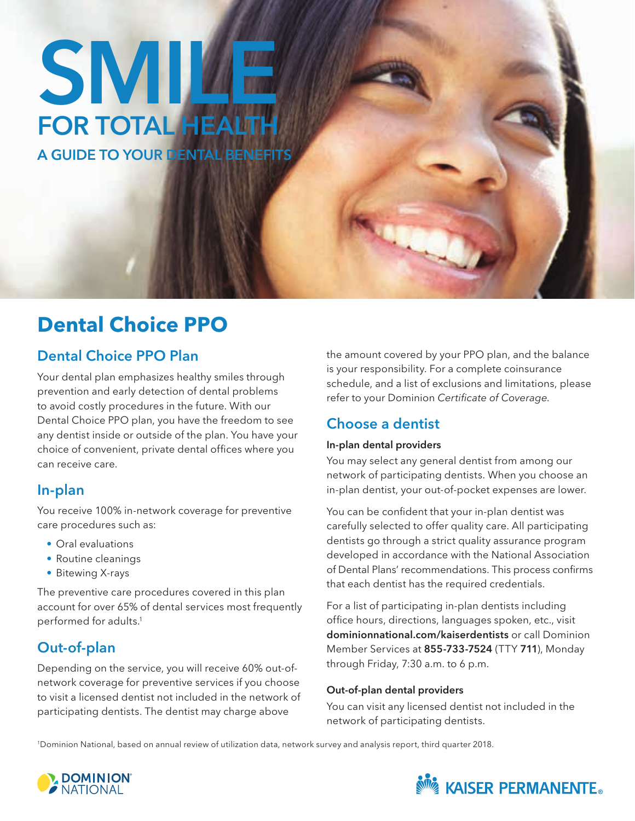# A GUIDE TO YOUR DENTAL BENEFITS SMILE<sup>T</sup> FOR TOTAL HEALTH

## **Dental Choice PPO**

## Dental Choice PPO Plan

Your dental plan emphasizes healthy smiles through prevention and early detection of dental problems to avoid costly procedures in the future. With our Dental Choice PPO plan, you have the freedom to see any dentist inside or outside of the plan. You have your choice of convenient, private dental offices where you can receive care.

## In-plan

You receive 100% in-network coverage for preventive care procedures such as:

- Oral evaluations
- Routine cleanings
- Bitewing X-rays

The preventive care procedures covered in this plan account for over 65% of dental services most frequently performed for adults.1

## Out-of-plan

Depending on the service, you will receive 60% out-ofnetwork coverage for preventive services if you choose to visit a licensed dentist not included in the network of participating dentists. The dentist may charge above

the amount covered by your PPO plan, and the balance is your responsibility. For a complete coinsurance schedule, and a list of exclusions and limitations, please refer to your Dominion Certificate of Coverage.

## Choose a dentist

#### In-plan dental providers

You may select any general dentist from among our network of participating dentists. When you choose an in-plan dentist, your out-of-pocket expenses are lower.

You can be confident that your in-plan dentist was carefully selected to offer quality care. All participating dentists go through a strict quality assurance program developed in accordance with the National Association of Dental Plans' recommendations. This process confirms that each dentist has the required credentials.

For a list of participating in-plan dentists including office hours, directions, languages spoken, etc., visit [dominionnational.com/kaiserdentists](http://dominionnational.com/kaiserdentists) or call Dominion Member Services at 855-733-7524 (TTY 711), Monday through Friday, 7:30 a.m. to 6 p.m.

#### Out-of-plan dental providers

You can visit any licensed dentist not included in the network of participating dentists.

1 Dominion National, based on annual review of utilization data, network survey and analysis report, third quarter 2018.